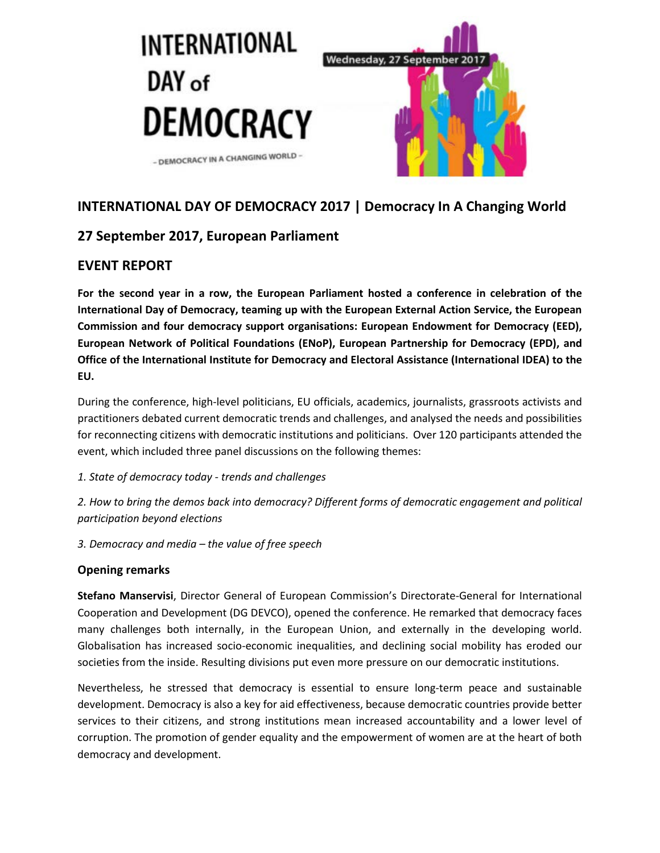

# **INTERNATIONAL DAY OF DEMOCRACY 2017 | Democracy In A Changing World**

# **27 September 2017, European Parliament**

## **EVENT REPORT**

**For the second year in a row, the European Parliament hosted a conference in celebration of the International Day of Democracy, teaming up with the European External Action Service, the European Commission and four democracy support organisations: European Endowment for Democracy (EED), European Network of Political Foundations (ENoP), European Partnership for Democracy (EPD), and Office of the International Institute for Democracy and Electoral Assistance (International IDEA) to the EU.**

During the conference, high-level politicians, EU officials, academics, journalists, grassroots activists and practitioners debated current democratic trends and challenges, and analysed the needs and possibilities for reconnecting citizens with democratic institutions and politicians. Over 120 participants attended the event, which included three panel discussions on the following themes:

### *1. State of democracy today - trends and challenges*

*2. How to bring the demos back into democracy? Different forms of democratic engagement and political participation beyond elections*

*3. Democracy and media – the value of free speech*

### **Opening remarks**

**Stefano Manservisi**, Director General of European Commission's Directorate-General for International Cooperation and Development (DG DEVCO), opened the conference. He remarked that democracy faces many challenges both internally, in the European Union, and externally in the developing world. Globalisation has increased socio-economic inequalities, and declining social mobility has eroded our societies from the inside. Resulting divisions put even more pressure on our democratic institutions.

Nevertheless, he stressed that democracy is essential to ensure long-term peace and sustainable development. Democracy is also a key for aid effectiveness, because democratic countries provide better services to their citizens, and strong institutions mean increased accountability and a lower level of corruption. The promotion of gender equality and the empowerment of women are at the heart of both democracy and development.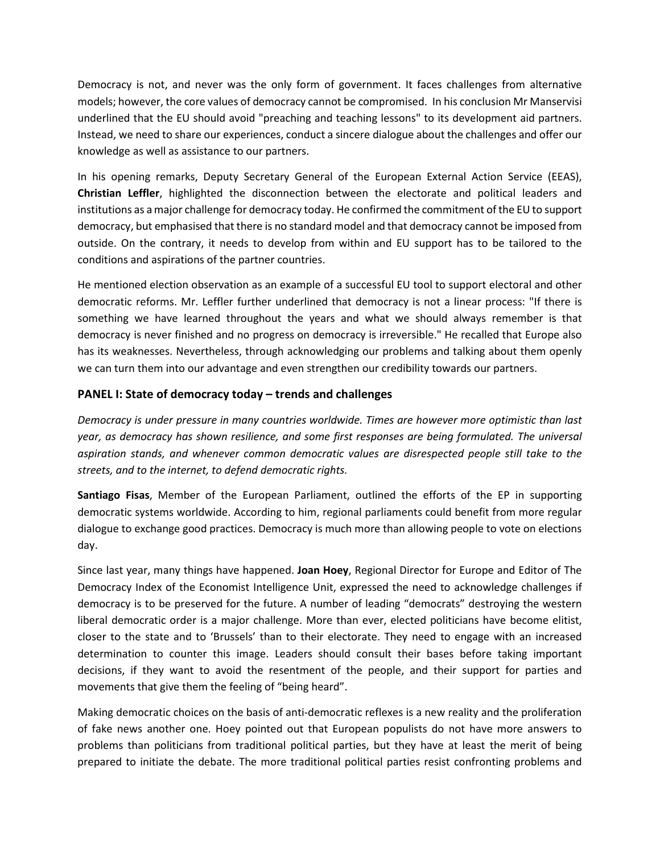Democracy is not, and never was the only form of government. It faces challenges from alternative models; however, the core values of democracy cannot be compromised. In his conclusion Mr Manservisi underlined that the EU should avoid "preaching and teaching lessons" to its development aid partners. Instead, we need to share our experiences, conduct a sincere dialogue about the challenges and offer our knowledge as well as assistance to our partners.

In his opening remarks, Deputy Secretary General of the European External Action Service (EEAS), **Christian Leffler**, highlighted the disconnection between the electorate and political leaders and institutions as a major challenge for democracy today. He confirmed the commitment of the EU to support democracy, but emphasised that there is no standard model and that democracy cannot be imposed from outside. On the contrary, it needs to develop from within and EU support has to be tailored to the conditions and aspirations of the partner countries.

He mentioned election observation as an example of a successful EU tool to support electoral and other democratic reforms. Mr. Leffler further underlined that democracy is not a linear process: "If there is something we have learned throughout the years and what we should always remember is that democracy is never finished and no progress on democracy is irreversible." He recalled that Europe also has its weaknesses. Nevertheless, through acknowledging our problems and talking about them openly we can turn them into our advantage and even strengthen our credibility towards our partners.

### **PANEL I: State of democracy today – trends and challenges**

*Democracy is under pressure in many countries worldwide. Times are however more optimistic than last year, as democracy has shown resilience, and some first responses are being formulated. The universal aspiration stands, and whenever common democratic values are disrespected people still take to the streets, and to the internet, to defend democratic rights.* 

**Santiago Fisas**, Member of the European Parliament, outlined the efforts of the EP in supporting democratic systems worldwide. According to him, regional parliaments could benefit from more regular dialogue to exchange good practices. Democracy is much more than allowing people to vote on elections day.

Since last year, many things have happened. **Joan Hoey**, Regional Director for Europe and Editor of The Democracy Index of the Economist Intelligence Unit, expressed the need to acknowledge challenges if democracy is to be preserved for the future. A number of leading "democrats" destroying the western liberal democratic order is a major challenge. More than ever, elected politicians have become elitist, closer to the state and to 'Brussels' than to their electorate. They need to engage with an increased determination to counter this image. Leaders should consult their bases before taking important decisions, if they want to avoid the resentment of the people, and their support for parties and movements that give them the feeling of "being heard".

Making democratic choices on the basis of anti-democratic reflexes is a new reality and the proliferation of fake news another one. Hoey pointed out that European populists do not have more answers to problems than politicians from traditional political parties, but they have at least the merit of being prepared to initiate the debate. The more traditional political parties resist confronting problems and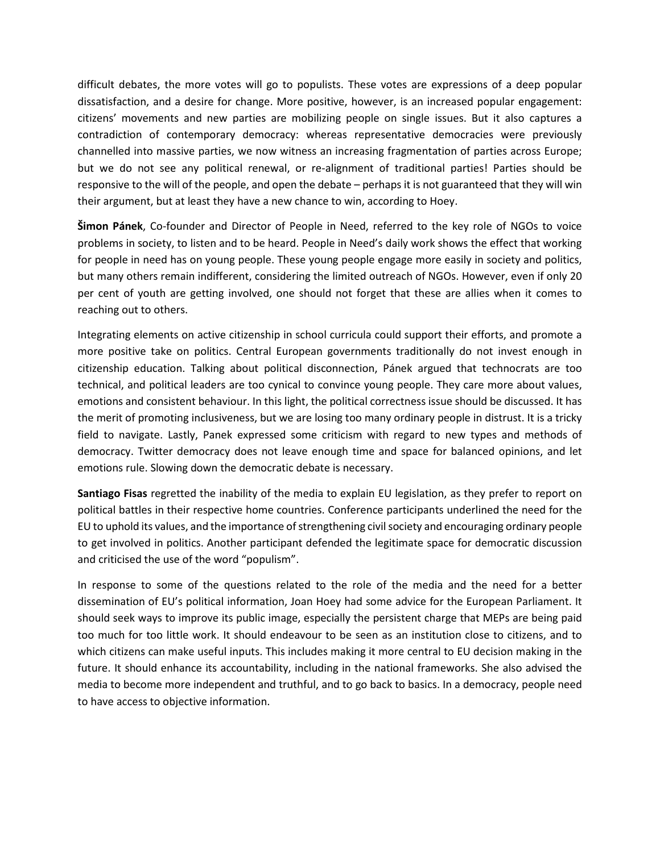difficult debates, the more votes will go to populists. These votes are expressions of a deep popular dissatisfaction, and a desire for change. More positive, however, is an increased popular engagement: citizens' movements and new parties are mobilizing people on single issues. But it also captures a contradiction of contemporary democracy: whereas representative democracies were previously channelled into massive parties, we now witness an increasing fragmentation of parties across Europe; but we do not see any political renewal, or re-alignment of traditional parties! Parties should be responsive to the will of the people, and open the debate – perhaps it is not guaranteed that they will win their argument, but at least they have a new chance to win, according to Hoey.

**Šimon Pánek**, Co-founder and Director of People in Need, referred to the key role of NGOs to voice problems in society, to listen and to be heard. People in Need's daily work shows the effect that working for people in need has on young people. These young people engage more easily in society and politics, but many others remain indifferent, considering the limited outreach of NGOs. However, even if only 20 per cent of youth are getting involved, one should not forget that these are allies when it comes to reaching out to others.

Integrating elements on active citizenship in school curricula could support their efforts, and promote a more positive take on politics. Central European governments traditionally do not invest enough in citizenship education. Talking about political disconnection, Pánek argued that technocrats are too technical, and political leaders are too cynical to convince young people. They care more about values, emotions and consistent behaviour. In this light, the political correctness issue should be discussed. It has the merit of promoting inclusiveness, but we are losing too many ordinary people in distrust. It is a tricky field to navigate. Lastly, Panek expressed some criticism with regard to new types and methods of democracy. Twitter democracy does not leave enough time and space for balanced opinions, and let emotions rule. Slowing down the democratic debate is necessary.

**Santiago Fisas** regretted the inability of the media to explain EU legislation, as they prefer to report on political battles in their respective home countries. Conference participants underlined the need for the EU to uphold its values, and the importance of strengthening civil society and encouraging ordinary people to get involved in politics. Another participant defended the legitimate space for democratic discussion and criticised the use of the word "populism".

In response to some of the questions related to the role of the media and the need for a better dissemination of EU's political information, Joan Hoey had some advice for the European Parliament. It should seek ways to improve its public image, especially the persistent charge that MEPs are being paid too much for too little work. It should endeavour to be seen as an institution close to citizens, and to which citizens can make useful inputs. This includes making it more central to EU decision making in the future. It should enhance its accountability, including in the national frameworks. She also advised the media to become more independent and truthful, and to go back to basics. In a democracy, people need to have access to objective information.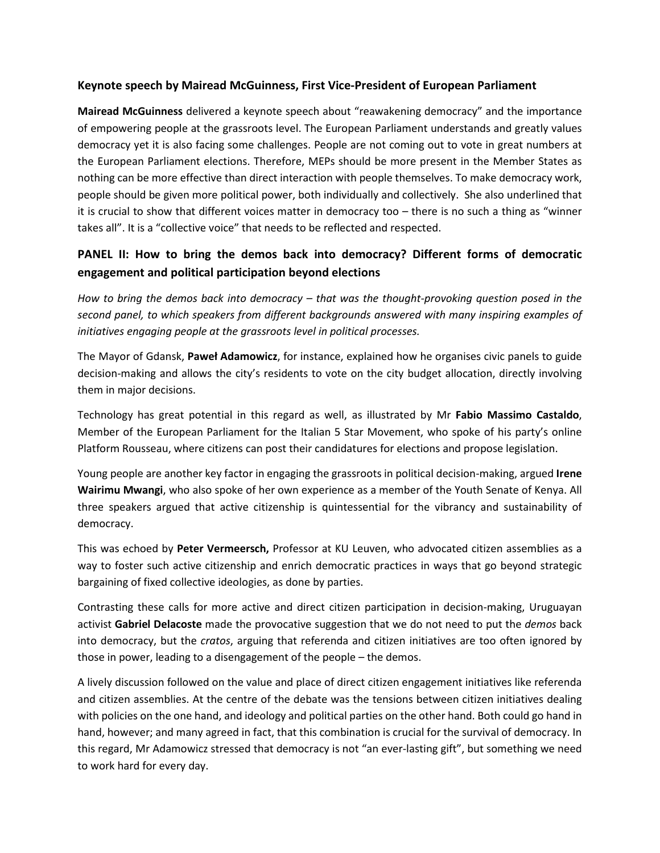#### **Keynote speech by Mairead McGuinness, First Vice-President of European Parliament**

**Mairead McGuinness** delivered a keynote speech about "reawakening democracy" and the importance of empowering people at the grassroots level. The European Parliament understands and greatly values democracy yet it is also facing some challenges. People are not coming out to vote in great numbers at the European Parliament elections. Therefore, MEPs should be more present in the Member States as nothing can be more effective than direct interaction with people themselves. To make democracy work, people should be given more political power, both individually and collectively. She also underlined that it is crucial to show that different voices matter in democracy too – there is no such a thing as "winner takes all". It is a "collective voice" that needs to be reflected and respected.

## **PANEL II: How to bring the demos back into democracy? Different forms of democratic engagement and political participation beyond elections**

*How to bring the demos back into democracy – that was the thought-provoking question posed in the second panel, to which speakers from different backgrounds answered with many inspiring examples of initiatives engaging people at the grassroots level in political processes.* 

The Mayor of Gdansk, **Paweł Adamowicz**, for instance, explained how he organises civic panels to guide decision-making and allows the city's residents to vote on the city budget allocation, directly involving them in major decisions.

Technology has great potential in this regard as well, as illustrated by Mr **Fabio Massimo Castaldo**, Member of the European Parliament for the Italian 5 Star Movement, who spoke of his party's online Platform Rousseau, where citizens can post their candidatures for elections and propose legislation.

Young people are another key factor in engaging the grassroots in political decision-making, argued **Irene Wairimu Mwangi**, who also spoke of her own experience as a member of the Youth Senate of Kenya. All three speakers argued that active citizenship is quintessential for the vibrancy and sustainability of democracy.

This was echoed by **Peter Vermeersch,** Professor at KU Leuven, who advocated citizen assemblies as a way to foster such active citizenship and enrich democratic practices in ways that go beyond strategic bargaining of fixed collective ideologies, as done by parties.

Contrasting these calls for more active and direct citizen participation in decision-making, Uruguayan activist **Gabriel Delacoste** made the provocative suggestion that we do not need to put the *demos* back into democracy, but the *cratos*, arguing that referenda and citizen initiatives are too often ignored by those in power, leading to a disengagement of the people – the demos.

A lively discussion followed on the value and place of direct citizen engagement initiatives like referenda and citizen assemblies. At the centre of the debate was the tensions between citizen initiatives dealing with policies on the one hand, and ideology and political parties on the other hand. Both could go hand in hand, however; and many agreed in fact, that this combination is crucial for the survival of democracy. In this regard, Mr Adamowicz stressed that democracy is not "an ever-lasting gift", but something we need to work hard for every day.